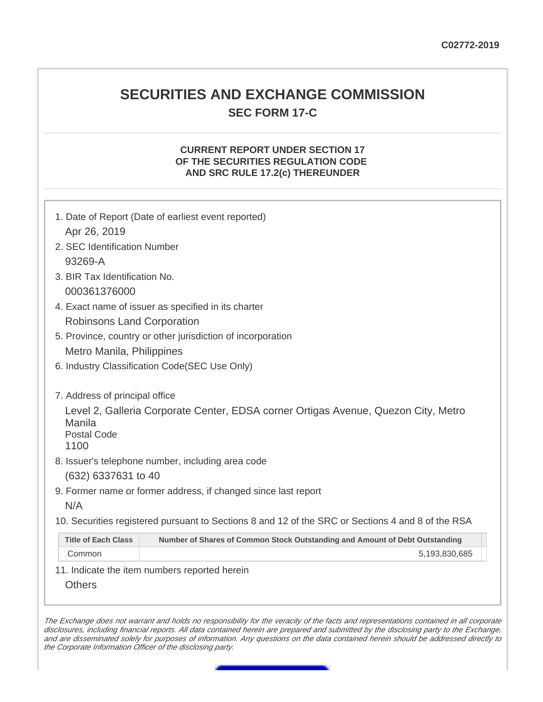## **SECURITIES AND EXCHANGE COMMISSION SEC FORM 17-C**

#### **CURRENT REPORT UNDER SECTION 17 OF THE SECURITIES REGULATION CODE AND SRC RULE 17.2(c) THEREUNDER**

| 1. Date of Report (Date of earliest event reported)<br>Apr 26, 2019                               |                                                                                    |  |
|---------------------------------------------------------------------------------------------------|------------------------------------------------------------------------------------|--|
| 2. SEC Identification Number                                                                      |                                                                                    |  |
| 93269-A                                                                                           |                                                                                    |  |
| 3. BIR Tax Identification No.                                                                     |                                                                                    |  |
| 000361376000                                                                                      |                                                                                    |  |
| 4. Exact name of issuer as specified in its charter                                               |                                                                                    |  |
| <b>Robinsons Land Corporation</b>                                                                 |                                                                                    |  |
| 5. Province, country or other jurisdiction of incorporation                                       |                                                                                    |  |
| Metro Manila, Philippines                                                                         |                                                                                    |  |
| 6. Industry Classification Code(SEC Use Only)                                                     |                                                                                    |  |
|                                                                                                   |                                                                                    |  |
| 7. Address of principal office                                                                    |                                                                                    |  |
| Manila<br><b>Postal Code</b><br>1100                                                              | Level 2, Galleria Corporate Center, EDSA corner Ortigas Avenue, Quezon City, Metro |  |
|                                                                                                   | 8. Issuer's telephone number, including area code                                  |  |
| (632) 6337631 to 40                                                                               |                                                                                    |  |
|                                                                                                   | 9. Former name or former address, if changed since last report                     |  |
| N/A                                                                                               |                                                                                    |  |
| 10. Securities registered pursuant to Sections 8 and 12 of the SRC or Sections 4 and 8 of the RSA |                                                                                    |  |
| <b>Title of Each Class</b>                                                                        | Number of Shares of Common Stock Outstanding and Amount of Debt Outstanding        |  |
| Common                                                                                            | 5,193,830,685                                                                      |  |
|                                                                                                   | 11. Indicate the item numbers reported herein                                      |  |
| <b>Others</b>                                                                                     |                                                                                    |  |
|                                                                                                   |                                                                                    |  |

The Exchange does not warrant and holds no responsibility for the veracity of the facts and representations contained in all corporate disclosures, including financial reports. All data contained herein are prepared and submitted by the disclosing party to the Exchange, and are disseminated solely for purposes of information. Any questions on the data contained herein should be addressed directly to the Corporate Information Officer of the disclosing party.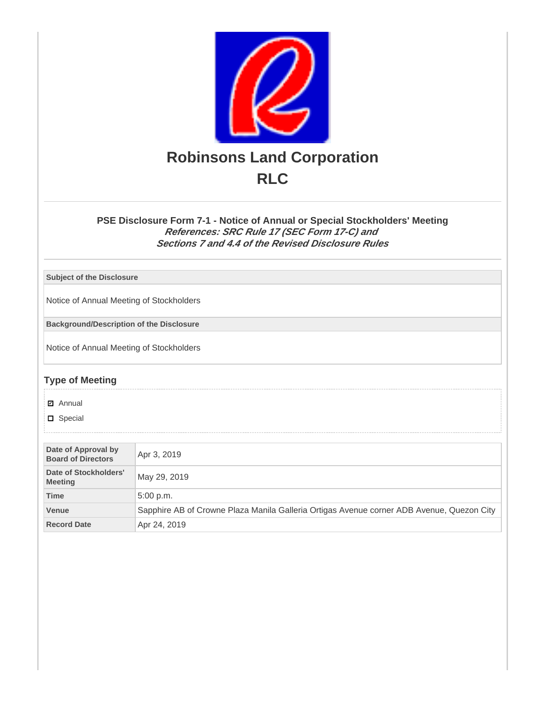

#### **PSE Disclosure Form 7-1 - Notice of Annual or Special Stockholders' Meeting References: SRC Rule 17 (SEC Form 17-C) and Sections 7 and 4.4 of the Revised Disclosure Rules**

**Subject of the Disclosure**

Notice of Annual Meeting of Stockholders

**Background/Description of the Disclosure**

Notice of Annual Meeting of Stockholders

### **Type of Meeting**

**☑** Annual

**D** Special

| Date of Approval by<br><b>Board of Directors</b> | Apr 3, 2019                                                                               |  |
|--------------------------------------------------|-------------------------------------------------------------------------------------------|--|
| Date of Stockholders'<br><b>Meeting</b>          | May 29, 2019                                                                              |  |
| <b>Time</b>                                      | $5:00$ p.m.                                                                               |  |
| <b>Venue</b>                                     | Sapphire AB of Crowne Plaza Manila Galleria Ortigas Avenue corner ADB Avenue, Quezon City |  |
| <b>Record Date</b>                               | Apr 24, 2019                                                                              |  |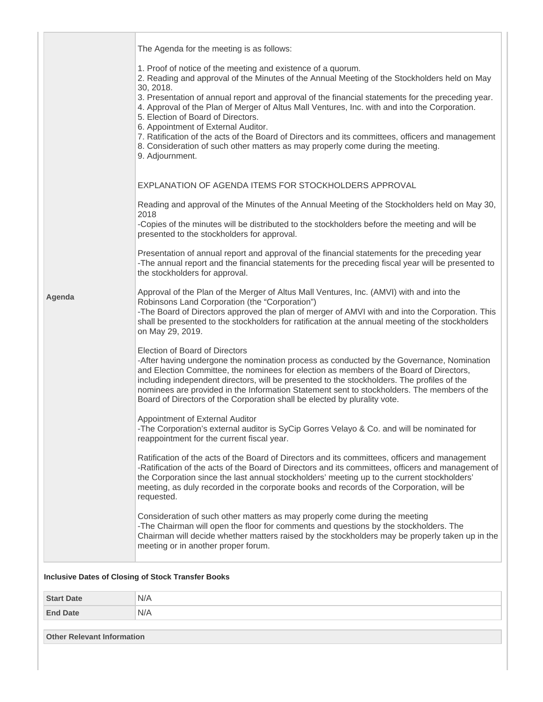|        | The Agenda for the meeting is as follows:                                                                                                                                                                                                                                                                                                                                                                                                                                                                                                                                                                                                                               |
|--------|-------------------------------------------------------------------------------------------------------------------------------------------------------------------------------------------------------------------------------------------------------------------------------------------------------------------------------------------------------------------------------------------------------------------------------------------------------------------------------------------------------------------------------------------------------------------------------------------------------------------------------------------------------------------------|
|        | 1. Proof of notice of the meeting and existence of a quorum.<br>2. Reading and approval of the Minutes of the Annual Meeting of the Stockholders held on May<br>30, 2018.<br>3. Presentation of annual report and approval of the financial statements for the preceding year.<br>4. Approval of the Plan of Merger of Altus Mall Ventures, Inc. with and into the Corporation.<br>5. Election of Board of Directors.<br>6. Appointment of External Auditor.<br>7. Ratification of the acts of the Board of Directors and its committees, officers and management<br>8. Consideration of such other matters as may properly come during the meeting.<br>9. Adjournment. |
|        | EXPLANATION OF AGENDA ITEMS FOR STOCKHOLDERS APPROVAL                                                                                                                                                                                                                                                                                                                                                                                                                                                                                                                                                                                                                   |
|        | Reading and approval of the Minutes of the Annual Meeting of the Stockholders held on May 30,<br>2018                                                                                                                                                                                                                                                                                                                                                                                                                                                                                                                                                                   |
|        | -Copies of the minutes will be distributed to the stockholders before the meeting and will be<br>presented to the stockholders for approval.                                                                                                                                                                                                                                                                                                                                                                                                                                                                                                                            |
|        | Presentation of annual report and approval of the financial statements for the preceding year<br>-The annual report and the financial statements for the preceding fiscal year will be presented to<br>the stockholders for approval.                                                                                                                                                                                                                                                                                                                                                                                                                                   |
| Agenda | Approval of the Plan of the Merger of Altus Mall Ventures, Inc. (AMVI) with and into the<br>Robinsons Land Corporation (the "Corporation")<br>-The Board of Directors approved the plan of merger of AMVI with and into the Corporation. This<br>shall be presented to the stockholders for ratification at the annual meeting of the stockholders<br>on May 29, 2019.                                                                                                                                                                                                                                                                                                  |
|        | Election of Board of Directors<br>-After having undergone the nomination process as conducted by the Governance, Nomination<br>and Election Committee, the nominees for election as members of the Board of Directors,<br>including independent directors, will be presented to the stockholders. The profiles of the<br>nominees are provided in the Information Statement sent to stockholders. The members of the<br>Board of Directors of the Corporation shall be elected by plurality vote.                                                                                                                                                                       |
|        | Appointment of External Auditor<br>-The Corporation's external auditor is SyCip Gorres Velayo & Co. and will be nominated for<br>reappointment for the current fiscal year.                                                                                                                                                                                                                                                                                                                                                                                                                                                                                             |
|        | Ratification of the acts of the Board of Directors and its committees, officers and management<br>-Ratification of the acts of the Board of Directors and its committees, officers and management of<br>the Corporation since the last annual stockholders' meeting up to the current stockholders'<br>meeting, as duly recorded in the corporate books and records of the Corporation, will be<br>requested.                                                                                                                                                                                                                                                           |
|        | Consideration of such other matters as may properly come during the meeting<br>-The Chairman will open the floor for comments and questions by the stockholders. The<br>Chairman will decide whether matters raised by the stockholders may be properly taken up in the<br>meeting or in another proper forum.                                                                                                                                                                                                                                                                                                                                                          |
|        | <b>Inclusive Dates of Closing of Stock Transfer Books</b>                                                                                                                                                                                                                                                                                                                                                                                                                                                                                                                                                                                                               |

# **Start Date** N/A **End Date** N/A

**Other Relevant Information**